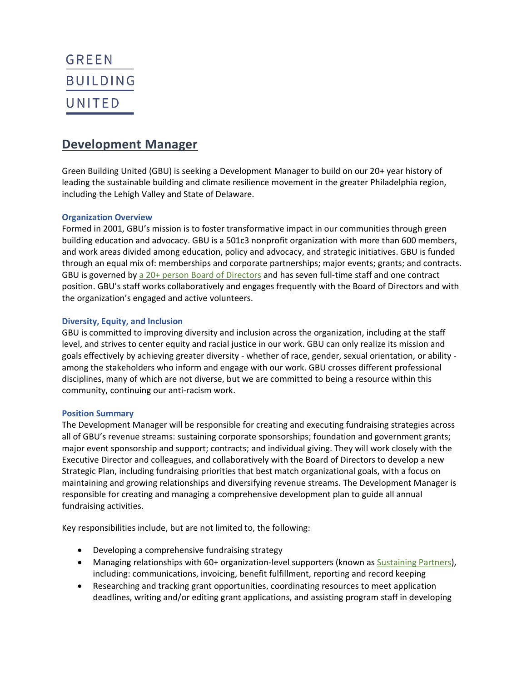# **GREEN BUILDING** UNITED

## **Development Manager**

Green Building United (GBU) is seeking a Development Manager to build on our 20+ year history of leading the sustainable building and climate resilience movement in the greater Philadelphia region, including the Lehigh Valley and State of Delaware.

#### **Organization Overview**

Formed in 2001, GBU's mission is to foster transformative impact in our communities through green building education and advocacy. GBU is a 501c3 nonprofit organization with more than 600 members, and work areas divided among education, policy and advocacy, and strategic initiatives. GB[U is funded](https://greenbuildingunited.org/uploads/attachments/cl30kxzmu0c43yju0t3ln6nzz-impact-report-2021-green-building-united-0503.pdf) through an equal mix of: memberships and corporate partnerships; major events; grants; and contracts. GBU is governed by [a 20+ person Board of Directors](https://greenbuildingunited.org/about-us/board) and has seven full-time staff and one contract position. GBU's staff works collaboratively and engages frequently with the Board of Directors and with the organization's engaged and active volunteers.

#### **Diversity, Equity, and Inclusion**

GBU is committed to improving diversity and inclusion across the organization, including at the staff level, and strives to center equity and racial justice in our work. GBU can only realize its mission and goals effectively by achieving greater diversity - whether of race, gender, sexual orientation, or ability among the stakeholders who inform and engage with our work. GBU crosses different professional disciplines, many of which are not diverse, but we are committed to being a resource within this community, [continuing our anti-racism work.](https://greenbuildingunited.org/newsroom/green-building-united-s-statement-on-racial-injustice)

#### **Position Summary**

The Development Manager will be responsible for creating and executing fundraising strategies across all of GBU's revenue streams: sustaining corporate sponsorships; foundation and government grants; major event sponsorship and support; contracts; and individual giving. They will work closely with the Executive Director and colleagues, and collaboratively with the Board of Directors to develop a new Strategic Plan, including fundraising priorities that best match organizational goals, with a focus on maintaining and growing relationships and diversifying revenue streams. The Development Manager is responsible for creating and managing a comprehensive development plan to guide all annual fundraising activities.

Key responsibilities include, but are not limited to, the following:

- Developing a comprehensive fundraising strategy
- Managing relationships with 60+ organization-level supporters (known as [Sustaining Partners\)](https://greenbuildingunited.org/sustaining-partnership), including: communications, invoicing, benefit fulfillment, reporting and record keeping
- Researching and tracking grant opportunities, coordinating resources to meet application deadlines, writing and/or editing grant applications, and assisting program staff in developing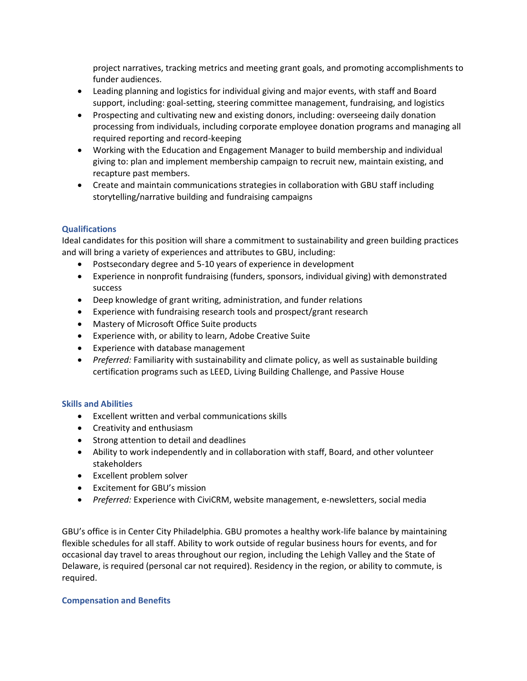project narratives, tracking metrics and meeting grant goals, and promoting accomplishments to funder audiences.

- Leading planning and logistics for individual giving and major events, with staff and Board support, including: goal-setting, steering committee management, fundraising, and logistics
- Prospecting and cultivating new and existing donors, including: overseeing daily donation processing from individuals, including corporate employee donation programs and managing all required reporting and record-keeping
- Working with the Education and Engagement Manager to build membership and individual giving to: plan and implement membership campaign to recruit new, maintain existing, and recapture past members.
- Create and maintain communications strategies in collaboration with GBU staff including storytelling/narrative building and fundraising campaigns

### **Qualifications**

Ideal candidates for this position will share a commitment to sustainability and green building practices and will bring a variety of experiences and attributes to GBU, including:

- Postsecondary degree and 5-10 years of experience in development
- Experience in nonprofit fundraising (funders, sponsors, individual giving) with demonstrated success
- Deep knowledge of grant writing, administration, and funder relations
- Experience with fundraising research tools and prospect/grant research
- Mastery of Microsoft Office Suite products
- Experience with, or ability to learn, Adobe Creative Suite
- Experience with database management
- *Preferred:* Familiarity with sustainability and climate policy, as well as sustainable building certification programs such as LEED, Living Building Challenge, and Passive House

#### **Skills and Abilities**

- Excellent written and verbal communications skills
- Creativity and enthusiasm
- Strong attention to detail and deadlines
- Ability to work independently and in collaboration with staff, Board, and other volunteer stakeholders
- Excellent problem solver
- Excitement for GBU's mission
- *Preferred:* Experience with CiviCRM, website management, e-newsletters, social media

GBU's office is in Center City Philadelphia. GBU promotes a healthy work-life balance by maintaining flexible schedules for all staff. Ability to work outside of regular business hours for events, and for occasional day travel to areas throughout our region, including the Lehigh Valley and the State of Delaware, is required (personal car not required). Residency in the region, or ability to commute, is required.

#### **Compensation and Benefits**